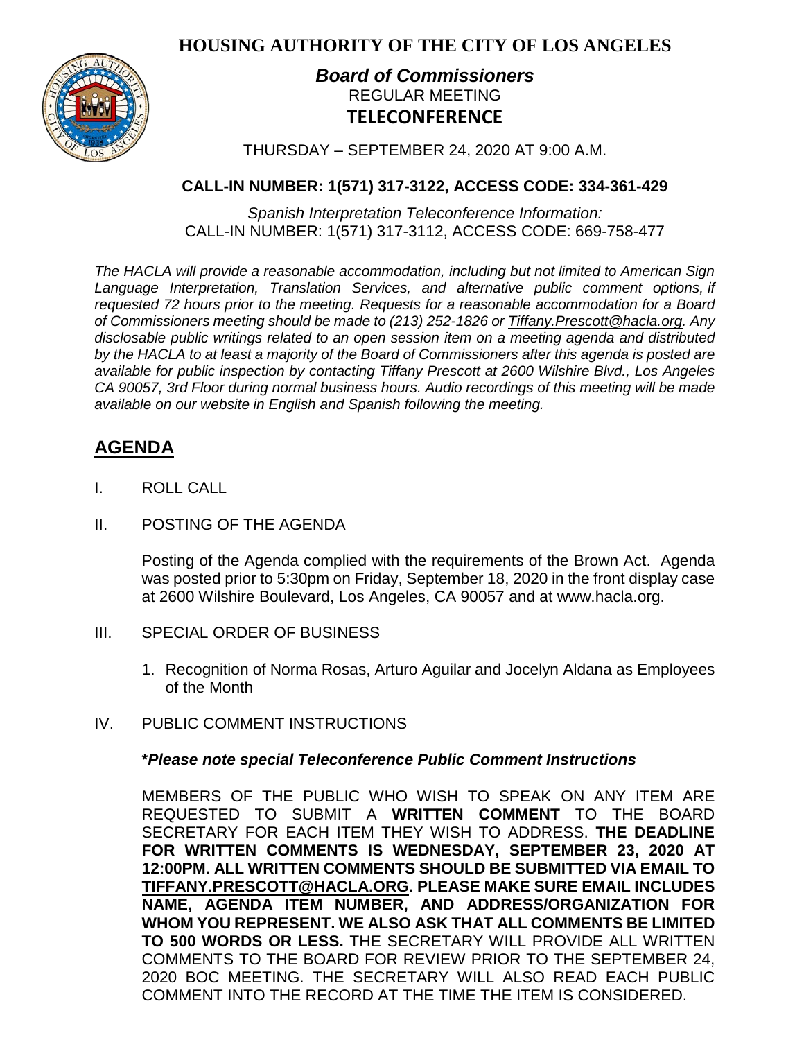**HOUSING AUTHORITY OF THE CITY OF LOS ANGELES**



## *Board of Commissioners* REGULAR MEETING **TELECONFERENCE**

THURSDAY – SEPTEMBER 24, 2020 AT 9:00 A.M.

## **CALL-IN NUMBER: 1(571) 317-3122, ACCESS CODE: 334-361-429**

*Spanish Interpretation Teleconference Information:* CALL-IN NUMBER: 1(571) 317-3112, ACCESS CODE: 669-758-477

*The HACLA will provide a reasonable accommodation, including but not limited to American Sign Language Interpretation, Translation Services, and alternative public comment options, if requested 72 hours prior to the meeting. Requests for a reasonable accommodation for a Board of Commissioners meeting should be made to (213) 252-1826 or Tiffany.Prescott@hacla.org. Any disclosable public writings related to an open session item on a meeting agenda and distributed by the HACLA to at least a majority of the Board of Commissioners after this agenda is posted are available for public inspection by contacting Tiffany Prescott at 2600 Wilshire Blvd., Los Angeles CA 90057, 3rd Floor during normal business hours. Audio recordings of this meeting will be made available on our website in English and Spanish following the meeting.*

# **AGENDA**

- I. ROLL CALL
- II. POSTING OF THE AGENDA

Posting of the Agenda complied with the requirements of the Brown Act. Agenda was posted prior to 5:30pm on Friday, September 18, 2020 in the front display case at 2600 Wilshire Boulevard, Los Angeles, CA 90057 and at [www.hacla.org.](http://www.hacla.org/)

- III. SPECIAL ORDER OF BUSINESS
	- 1. Recognition of Norma Rosas, Arturo Aguilar and Jocelyn Aldana as Employees of the Month
- IV. PUBLIC COMMENT INSTRUCTIONS

#### **\****Please note special Teleconference Public Comment Instructions*

MEMBERS OF THE PUBLIC WHO WISH TO SPEAK ON ANY ITEM ARE REQUESTED TO SUBMIT A **WRITTEN COMMENT** TO THE BOARD SECRETARY FOR EACH ITEM THEY WISH TO ADDRESS. **THE DEADLINE FOR WRITTEN COMMENTS IS WEDNESDAY, SEPTEMBER 23, 2020 AT 12:00PM. ALL WRITTEN COMMENTS SHOULD BE SUBMITTED VIA EMAIL TO [TIFFANY.PRESCOTT@HACLA.ORG.](mailto:TIFFANY.PRESCOTT@HACLA.ORG) PLEASE MAKE SURE EMAIL INCLUDES NAME, AGENDA ITEM NUMBER, AND ADDRESS/ORGANIZATION FOR WHOM YOU REPRESENT. WE ALSO ASK THAT ALL COMMENTS BE LIMITED TO 500 WORDS OR LESS.** THE SECRETARY WILL PROVIDE ALL WRITTEN COMMENTS TO THE BOARD FOR REVIEW PRIOR TO THE SEPTEMBER 24, 2020 BOC MEETING. THE SECRETARY WILL ALSO READ EACH PUBLIC COMMENT INTO THE RECORD AT THE TIME THE ITEM IS CONSIDERED.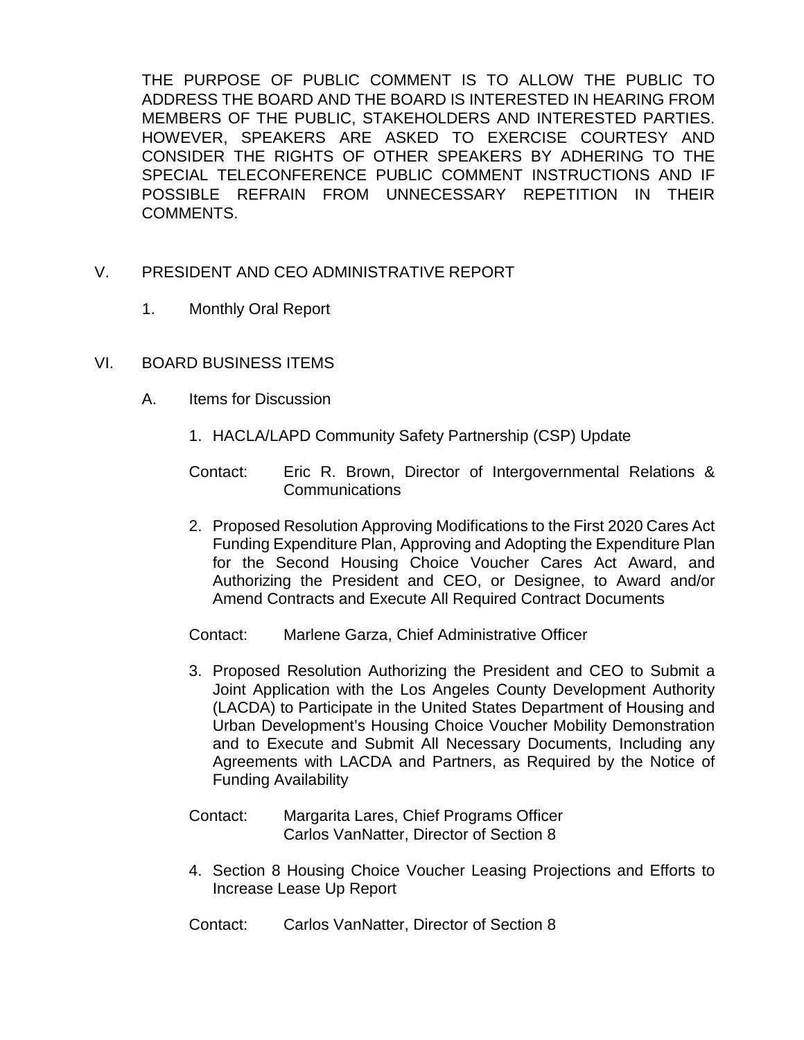THE PURPOSE OF PUBLIC COMMENT IS TO ALLOW THE PUBLIC TO ADDRESS THE BOARD AND THE BOARD IS INTERESTED IN HEARING FROM MEMBERS OF THE PUBLIC, STAKEHOLDERS AND INTERESTED PARTIES. HOWEVER, SPEAKERS ARE ASKED TO EXERCISE COURTESY AND CONSIDER THE RIGHTS OF OTHER SPEAKERS BY ADHERING TO THE SPECIAL TELECONFERENCE PUBLIC COMMENT INSTRUCTIONS AND IF POSSIBLE REFRAIN FROM UNNECESSARY REPETITION IN THEIR COMMENTS.

- V. PRESIDENT AND CEO ADMINISTRATIVE REPORT
	- 1. Monthly Oral Report
- VI. BOARD BUSINESS ITEMS
	- A. Items for Discussion
		- 1. HACLA/LAPD Community Safety Partnership (CSP) Update

Contact: Eric R. Brown, Director of Intergovernmental Relations & Communications

- 2. Proposed Resolution Approving Modifications to the First 2020 Cares Act Funding Expenditure Plan, Approving and Adopting the Expenditure Plan for the Second Housing Choice Voucher Cares Act Award, and Authorizing the President and CEO, or Designee, to Award and/or Amend Contracts and Execute All Required Contract Documents
- Contact: Marlene Garza, Chief Administrative Officer
- 3. Proposed Resolution Authorizing the President and CEO to Submit a Joint Application with the Los Angeles County Development Authority (LACDA) to Participate in the United States Department of Housing and Urban Development's Housing Choice Voucher Mobility Demonstration and to Execute and Submit All Necessary Documents, Including any Agreements with LACDA and Partners, as Required by the Notice of Funding Availability
- Contact: Margarita Lares, Chief Programs Officer Carlos VanNatter, Director of Section 8
- 4. Section 8 Housing Choice Voucher Leasing Projections and Efforts to Increase Lease Up Report
- Contact: Carlos VanNatter, Director of Section 8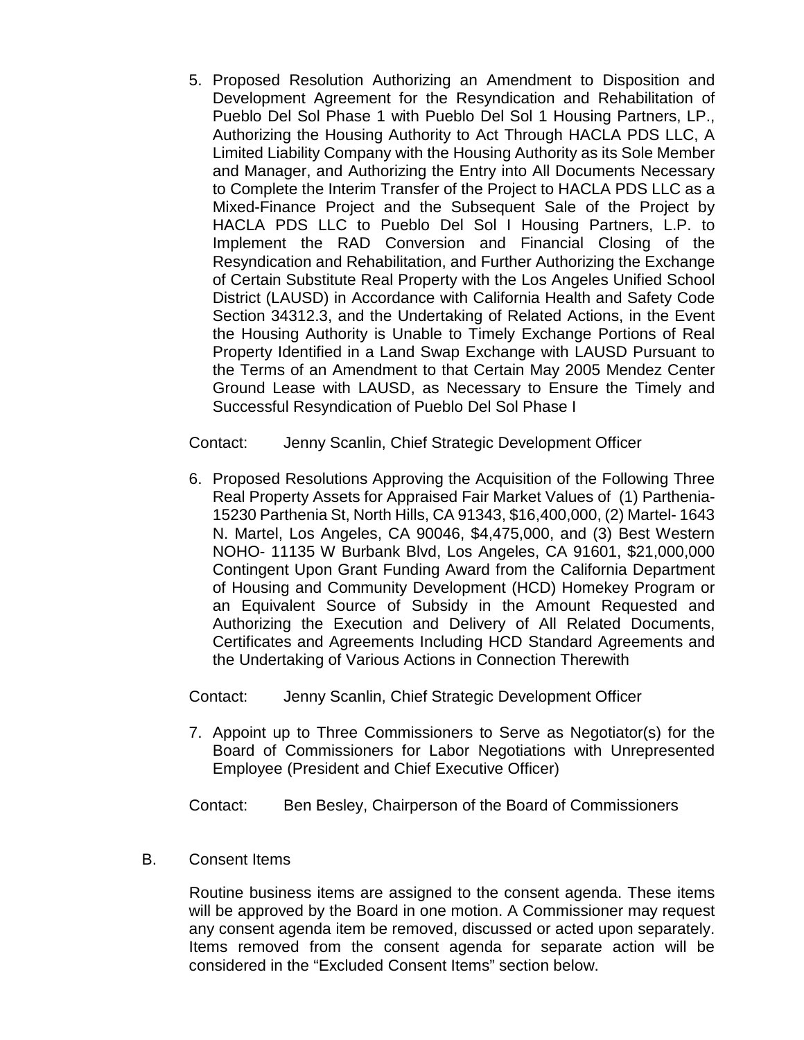5. Proposed Resolution Authorizing an Amendment to Disposition and Development Agreement for the Resyndication and Rehabilitation of Pueblo Del Sol Phase 1 with Pueblo Del Sol 1 Housing Partners, LP., Authorizing the Housing Authority to Act Through HACLA PDS LLC, A Limited Liability Company with the Housing Authority as its Sole Member and Manager, and Authorizing the Entry into All Documents Necessary to Complete the Interim Transfer of the Project to HACLA PDS LLC as a Mixed-Finance Project and the Subsequent Sale of the Project by HACLA PDS LLC to Pueblo Del Sol I Housing Partners, L.P. to Implement the RAD Conversion and Financial Closing of the Resyndication and Rehabilitation, and Further Authorizing the Exchange of Certain Substitute Real Property with the Los Angeles Unified School District (LAUSD) in Accordance with California Health and Safety Code Section 34312.3, and the Undertaking of Related Actions, in the Event the Housing Authority is Unable to Timely Exchange Portions of Real Property Identified in a Land Swap Exchange with LAUSD Pursuant to the Terms of an Amendment to that Certain May 2005 Mendez Center Ground Lease with LAUSD, as Necessary to Ensure the Timely and Successful Resyndication of Pueblo Del Sol Phase I

Contact: Jenny Scanlin, Chief Strategic Development Officer

6. Proposed Resolutions Approving the Acquisition of the Following Three Real Property Assets for Appraised Fair Market Values of (1) Parthenia-15230 Parthenia St, North Hills, CA 91343, \$16,400,000, (2) Martel- 1643 N. Martel, Los Angeles, CA 90046, \$4,475,000, and (3) Best Western NOHO- 11135 W Burbank Blvd, Los Angeles, CA 91601, \$21,000,000 Contingent Upon Grant Funding Award from the California Department of Housing and Community Development (HCD) Homekey Program or an Equivalent Source of Subsidy in the Amount Requested and Authorizing the Execution and Delivery of All Related Documents, Certificates and Agreements Including HCD Standard Agreements and the Undertaking of Various Actions in Connection Therewith

Contact: Jenny Scanlin, Chief Strategic Development Officer

7. Appoint up to Three Commissioners to Serve as Negotiator(s) for the Board of Commissioners for Labor Negotiations with Unrepresented Employee (President and Chief Executive Officer)

Contact: Ben Besley, Chairperson of the Board of Commissioners

B. Consent Items

Routine business items are assigned to the consent agenda. These items will be approved by the Board in one motion. A Commissioner may request any consent agenda item be removed, discussed or acted upon separately. Items removed from the consent agenda for separate action will be considered in the "Excluded Consent Items" section below.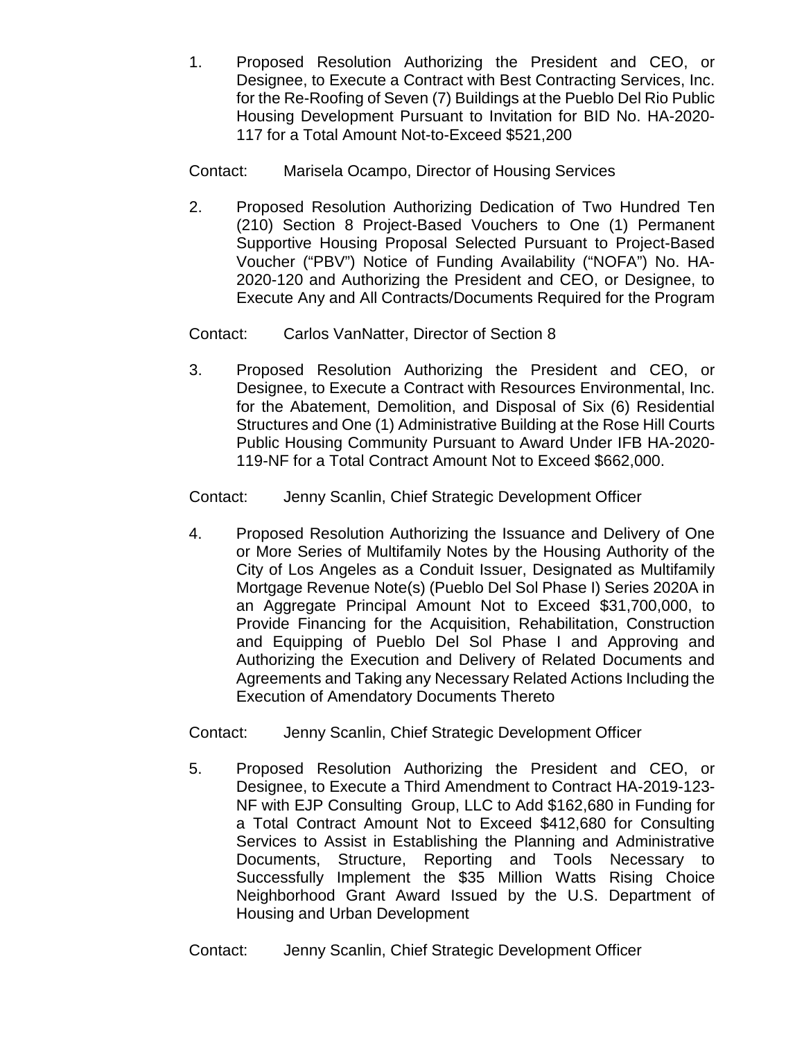1. Proposed Resolution Authorizing the President and CEO, or Designee, to Execute a Contract with Best Contracting Services, Inc. for the Re-Roofing of Seven (7) Buildings at the Pueblo Del Rio Public Housing Development Pursuant to Invitation for BID No. HA-2020- 117 for a Total Amount Not-to-Exceed \$521,200

Contact: Marisela Ocampo, Director of Housing Services

2. Proposed Resolution Authorizing Dedication of Two Hundred Ten (210) Section 8 Project-Based Vouchers to One (1) Permanent Supportive Housing Proposal Selected Pursuant to Project-Based Voucher ("PBV") Notice of Funding Availability ("NOFA") No. HA-2020-120 and Authorizing the President and CEO, or Designee, to Execute Any and All Contracts/Documents Required for the Program

Contact: Carlos VanNatter, Director of Section 8

3. Proposed Resolution Authorizing the President and CEO, or Designee, to Execute a Contract with Resources Environmental, Inc. for the Abatement, Demolition, and Disposal of Six (6) Residential Structures and One (1) Administrative Building at the Rose Hill Courts Public Housing Community Pursuant to Award Under IFB HA-2020- 119-NF for a Total Contract Amount Not to Exceed \$662,000.

Contact: Jenny Scanlin, Chief Strategic Development Officer

4. Proposed Resolution Authorizing the Issuance and Delivery of One or More Series of Multifamily Notes by the Housing Authority of the City of Los Angeles as a Conduit Issuer, Designated as Multifamily Mortgage Revenue Note(s) (Pueblo Del Sol Phase I) Series 2020A in an Aggregate Principal Amount Not to Exceed \$31,700,000, to Provide Financing for the Acquisition, Rehabilitation, Construction and Equipping of Pueblo Del Sol Phase I and Approving and Authorizing the Execution and Delivery of Related Documents and Agreements and Taking any Necessary Related Actions Including the Execution of Amendatory Documents Thereto

Contact: Jenny Scanlin, Chief Strategic Development Officer

5. Proposed Resolution Authorizing the President and CEO, or Designee, to Execute a Third Amendment to Contract HA-2019-123- NF with EJP Consulting Group, LLC to Add \$162,680 in Funding for a Total Contract Amount Not to Exceed \$412,680 for Consulting Services to Assist in Establishing the Planning and Administrative Documents, Structure, Reporting and Tools Necessary to Successfully Implement the \$35 Million Watts Rising Choice Neighborhood Grant Award Issued by the U.S. Department of Housing and Urban Development

Contact: Jenny Scanlin, Chief Strategic Development Officer